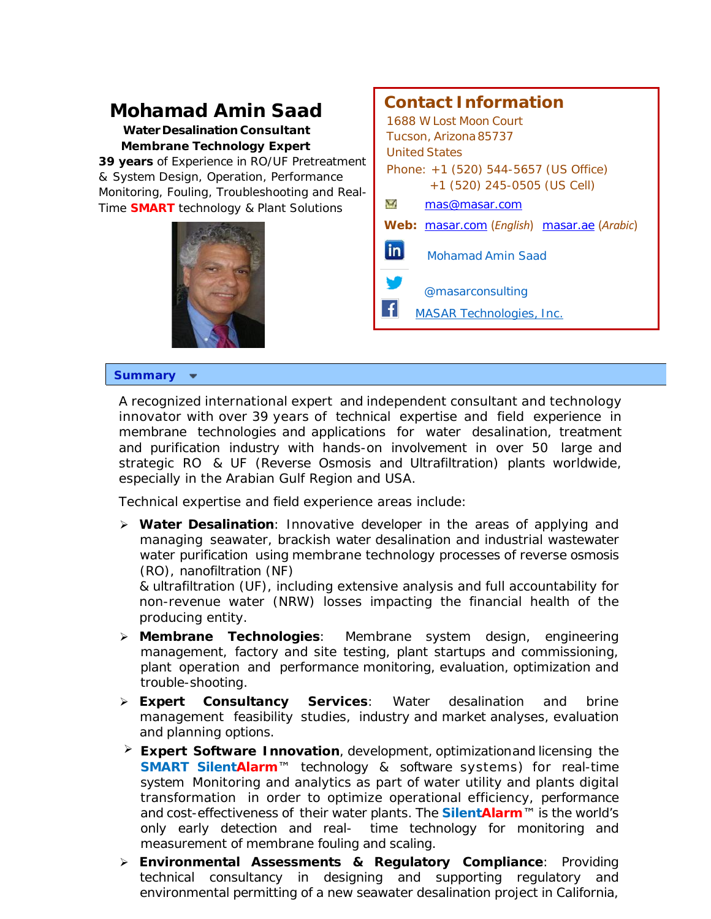

## **Summary**

A recognized international expert and independent consultant and technology innovator with over 39 years of technical expertise and field experience in membrane technologies and applications for water desalination, treatment and purification industry with hands-on involvement in over 50 large and strategic RO & UF (Reverse Osmosis and Ultrafiltration) plants worldwide, especially in the Arabian Gulf Region and USA.

*Technical expertise and field experience areas include*:

 **Water Desalination**: Innovative developer in the areas of applying and managing seawater, brackish water desalination and industrial wastewater water purification using membrane technology processes of reverse osmosis (RO), nanofiltration (NF)

& ultrafiltration (UF), including extensive analysis and full accountability for non-revenue water (NRW) losses impacting the financial health of the producing entity.

- **Membrane Technologies**: Membrane system design, engineering management, factory and site testing, plant startups and commissioning, plant operation and performance monitoring, evaluation, optimization and trouble-shooting.
- **Expert Consultancy Services**: Water desalination and brine management feasibility studies, industry and market analyses, evaluation and planning options.
- **Expert Software Innovation**, development, optimizationand licensing the **SMART SilentAlarm**™ technology & software systems) for real-time system Monitoring and analytics as part of water utility and plants digital transformation in order to optimize operational efficiency, performance and cost-effectiveness of their water plants. The **SilentAlarm**™ is the world's only early detection and real- time technology for monitoring and measurement of membrane fouling and scaling.
- **Environmental Assessments & Regulatory Compliance**: Providing technical consultancy in designing and supporting regulatory and environmental permitting of a new seawater desalination project in California,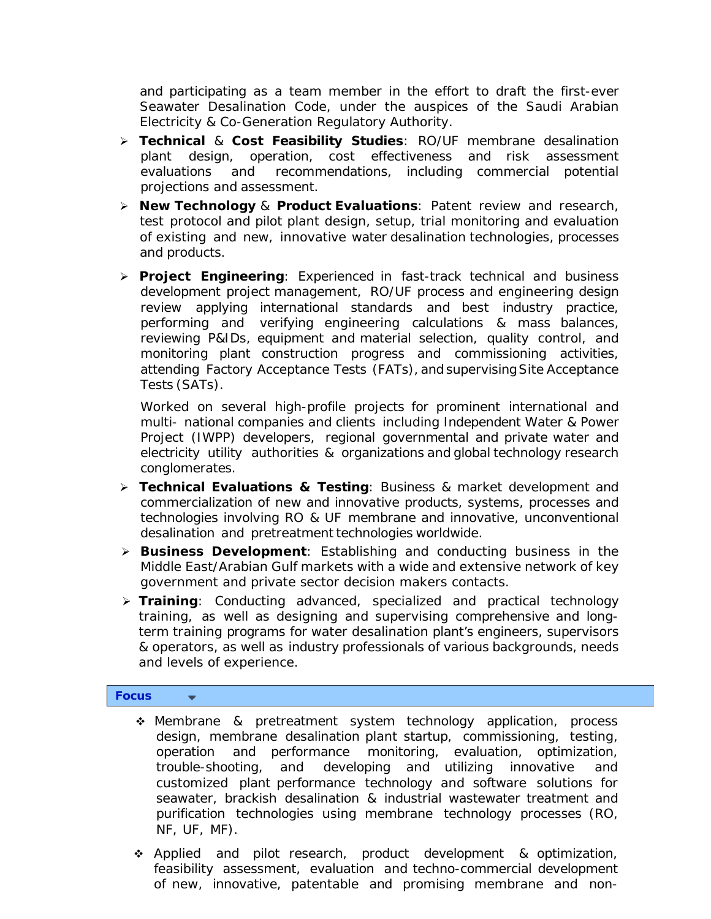and participating as a team member in the effort to draft the first-ever Seawater Desalination Code, under the auspices of the Saudi Arabian Electricity & Co-Generation Regulatory Authority.

- **Technical** & **Cost Feasibility Studies**: RO/UF membrane desalination plant design, operation, cost effectiveness and risk assessment evaluations and recommendations, including commercial potential projections and assessment.
- **New Technology** & **Product Evaluations**: Patent review and research, test protocol and pilot plant design, setup, trial monitoring and evaluation of existing and new, innovative water desalination technologies, processes and products.
- **Project Engineering**: Experienced in fast-track technical and business development project management, RO/UF process and engineering design review applying international standards and best industry practice, performing and verifying engineering calculations & mass balances, reviewing P&IDs, equipment and material selection, quality control, and monitoring plant construction progress and commissioning activities, attending Factory Acceptance Tests (FATs), and supervisingSite Acceptance Tests (SATs).

Worked on several high-profile projects for prominent international and multi- national companies and clients including Independent Water & Power Project (IWPP) developers, regional governmental and private water and electricity utility authorities & organizations and global technology research conglomerates.

- **Technical Evaluations & Testing**: Business & market development and commercialization of new and innovative products, systems, processes and technologies involving RO & UF membrane and innovative, unconventional desalination and pretreatment technologies worldwide.
- **Business Development**: Establishing and conducting business in the Middle East/Arabian Gulf markets with a wide and extensive network of key government and private sector decision makers contacts.
- **Training**: Conducting advanced, specialized and practical technology training, as well as designing and supervising comprehensive and longterm training programs for water desalination plant's engineers, supervisors & operators, as well as industry professionals of various backgrounds, needs and levels of experience.

## **Focus**

÷

- Membrane & pretreatment system technology application, process design, membrane desalination plant startup, commissioning, testing, operation and performance monitoring, evaluation, optimization, trouble-shooting, and developing and utilizing innovative and customized plant performance technology and software solutions for seawater, brackish desalination & industrial wastewater treatment and purification technologies using membrane technology processes (RO, NF, UF, MF).
- Applied and pilot research, product development & optimization, feasibility assessment, evaluation and techno-commercial development of new, innovative, patentable and promising membrane and non-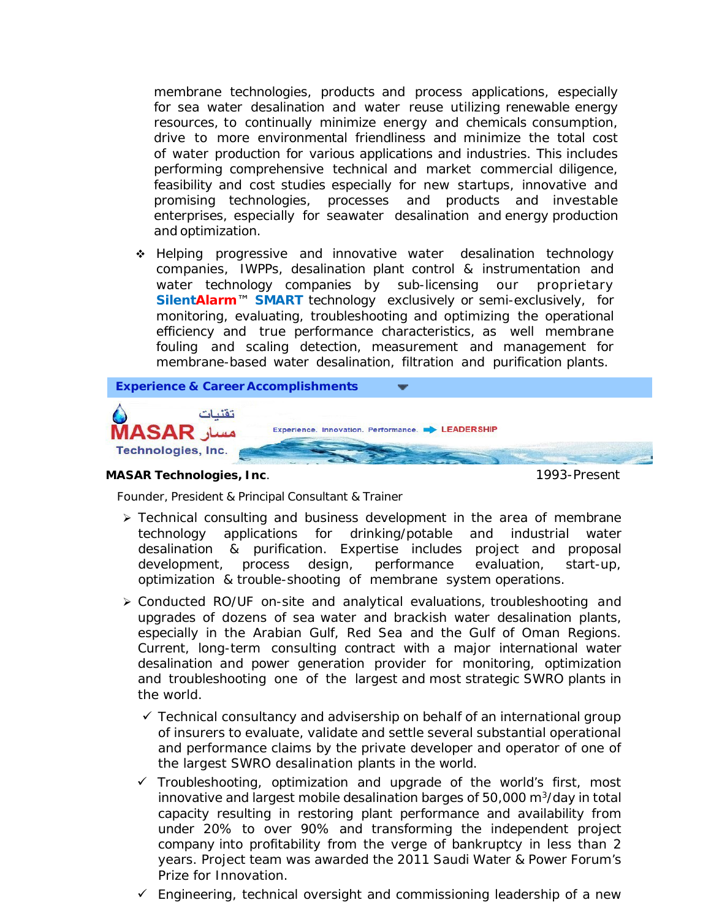membrane technologies, products and process applications, especially for sea water desalination and water reuse utilizing renewable energy resources, to continually minimize energy and chemicals consumption, drive to more environmental friendliness and minimize the total cost of water production for various applications and industries. This includes performing comprehensive technical and market commercial diligence, feasibility and cost studies especially for new startups, innovative and promising technologies, processes and products and investable enterprises, especially for seawater desalination and energy production and optimization.

 Helping progressive and innovative water desalination technology companies, IWPPs, desalination plant control & instrumentation and water technology companies by sub-licensing our proprietary **SilentAlarm**™ **SMART** technology exclusively or semi-exclusively, for monitoring, evaluating, troubleshooting and optimizing the operational efficiency and true performance characteristics, as well membrane fouling and scaling detection, measurement and management for membrane-based water desalination, filtration and purification plants.



## **MASAR Technologies, Inc**. 1993-Present

*Founder, President & Principal Consultant & Trainer*

- $\triangleright$  Technical consulting and business development in the area of membrane technology applications for drinking/potable and industrial water desalination & purification. Expertise includes project and proposal development, process design, performance evaluation, start-up, optimization & trouble-shooting of membrane system operations.
- $\triangleright$  Conducted RO/UF on-site and analytical evaluations, troubleshooting and upgrades of dozens of sea water and brackish water desalination plants, especially in the Arabian Gulf, Red Sea and the Gulf of Oman Regions. Current, long-term consulting contract with a major international water desalination and power generation provider for monitoring, optimization and troubleshooting one of the largest and most strategic SWRO plants in the world.
	- $\checkmark$  Technical consultancy and advisership on behalf of an international group of insurers to evaluate, validate and settle several substantial operational and performance claims by the private developer and operator of one of the largest SWRO desalination plants in the world.
	- $\checkmark$  Troubleshooting, optimization and upgrade of the world's first, most innovative and largest mobile desalination barges of 50,000 m<sup>3</sup>/day in total capacity resulting in restoring plant performance and availability from under 20% to over 90% and transforming the independent project company into profitability from the verge of bankruptcy in less than 2 years. Project team was awarded the 2011 Saudi Water & Power Forum's Prize for Innovation.
	- $\checkmark$  Engineering, technical oversight and commissioning leadership of a new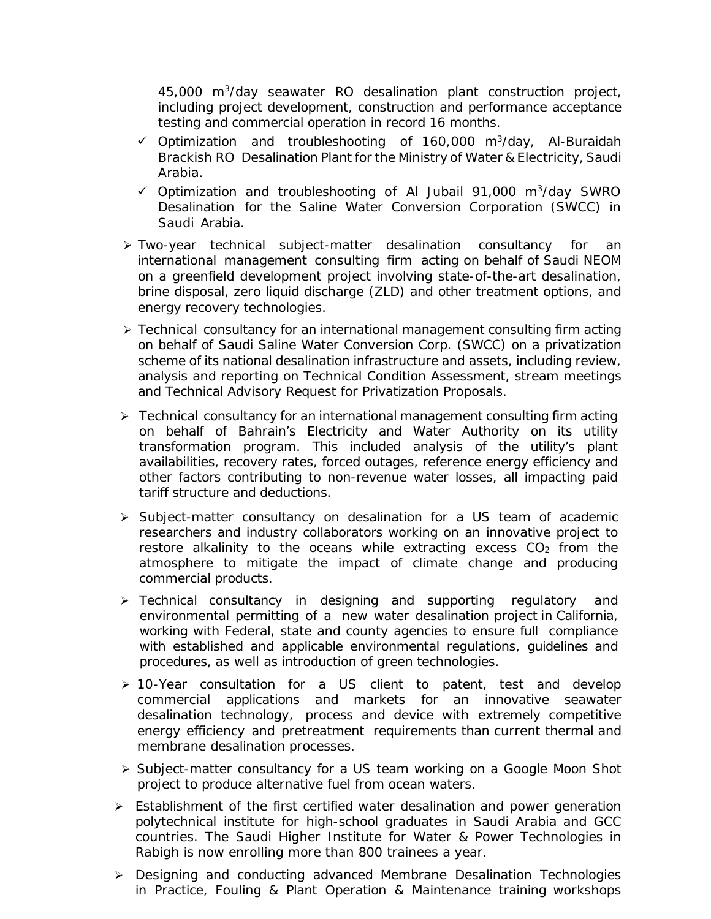45,000 m3/day seawater RO desalination plant construction project, including project development, construction and performance acceptance testing and commercial operation in record 16 months.

- $\checkmark$  Optimization and troubleshooting of 160,000 m<sup>3</sup>/day, Al-Buraidah Brackish RO Desalination Plant for the Ministry of Water & Electricity, Saudi Arabia.
- $\checkmark$  Optimization and troubleshooting of Al Jubail 91,000 m<sup>3</sup>/day SWRO Desalination for the Saline Water Conversion Corporation (SWCC) in Saudi Arabia.
- Two-year technical subject-matter desalination consultancy for an international management consulting firm acting on behalf of Saudi NEOM on a greenfield development project involving state-of-the-art desalination, brine disposal, zero liquid discharge (ZLD) and other treatment options, and energy recovery technologies.
- > Technical consultancy for an international management consulting firm acting on behalf of Saudi Saline Water Conversion Corp. (SWCC) on a privatization scheme of its national desalination infrastructure and assets, including review, analysis and reporting on Technical Condition Assessment, stream meetings and Technical Advisory Request for Privatization Proposals.
- $\triangleright$  Technical consultancy for an international management consulting firm acting on behalf of Bahrain's Electricity and Water Authority on its utility transformation program. This included analysis of the utility's plant availabilities, recovery rates, forced outages, reference energy efficiency and other factors contributing to non-revenue water losses, all impacting paid tariff structure and deductions.
- Subject-matter consultancy on desalination for a US team of academic researchers and industry collaborators working on an innovative project to restore alkalinity to the oceans while extracting excess  $CO<sub>2</sub>$  from the atmosphere to mitigate the impact of climate change and producing commercial products.
- > Technical consultancy in designing and supporting regulatory and environmental permitting of a new water desalination project in California, working with Federal, state and county agencies to ensure full compliance with established and applicable environmental regulations, guidelines and procedures, as well as introduction of green technologies.
- 10-Year consultation for a US client to patent, test and develop commercial applications and markets for an innovative seawater desalination technology, process and device with extremely competitive energy efficiency and pretreatment requirements than current thermal and membrane desalination processes.
- > Subject-matter consultancy for a US team working on a Google Moon Shot project to produce alternative fuel from ocean waters.
- $\triangleright$  Establishment of the first certified water desalination and power generation polytechnical institute for high-school graduates in Saudi Arabia and GCC countries. The Saudi Higher Institute for Water & Power Technologies in Rabigh is now enrolling more than 800 trainees a year.
- Designing and conducting advanced Membrane Desalination Technologies in Practice, Fouling & Plant Operation & Maintenance training workshops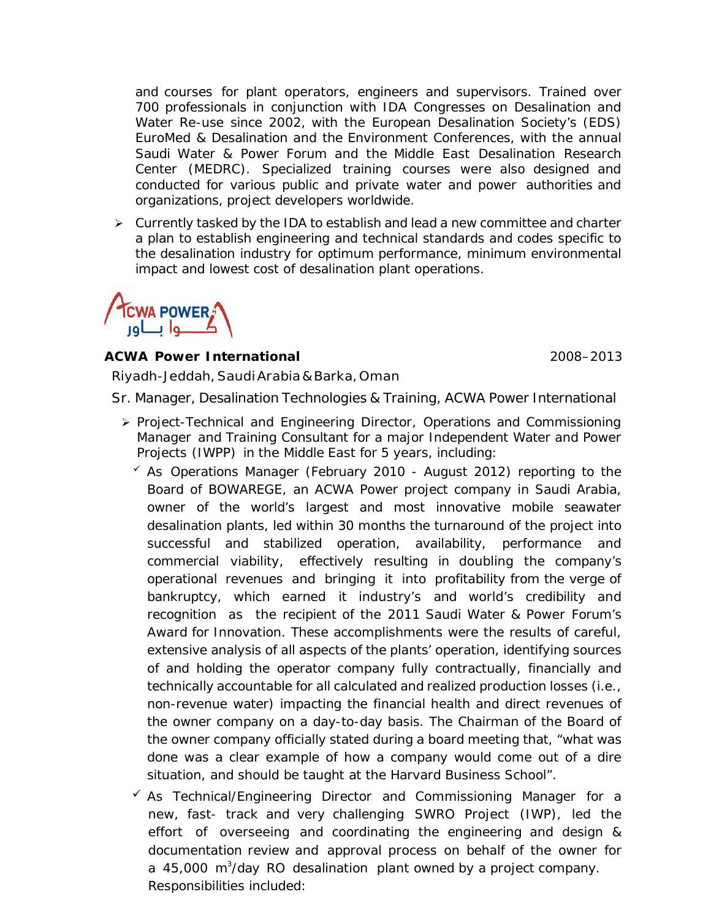and courses for plant operators, engineers and supervisors. Trained over 700 professionals in conjunction with IDA Congresses on Desalination and Water Re-use since 2002, with the European Desalination Society's (EDS) EuroMed & Desalination and the Environment Conferences, with the annual Saudi Water & Power Forum and the Middle East Desalination Research Center (MEDRC). Specialized training courses were also designed and conducted for various public and private water and power authorities and organizations, project developers worldwide.

 $\triangleright$  Currently tasked by the IDA to establish and lead a new committee and charter a plan to establish engineering and technical standards and codes specific to the desalination industry for optimum performance, minimum environmental impact and lowest cost of desalination plant operations.



## **ACWA Power International** 2008–2013

Riyadh-Jeddah,SaudiArabia& Barka,Oman

- *Sr. Manager, Desalination Technologies & Training, ACWA Power International*
	- Project-Technical and Engineering Director, Operations and Commissioning Manager and Training Consultant for a major Independent Water and Power Projects (IWPP) in the Middle East for 5 years, including:
		- $\overline{A}$  As Operations Manager (February 2010 August 2012) reporting to the Board of BOWAREGE, an ACWA Power project company in Saudi Arabia, owner of the world's largest and most innovative mobile seawater desalination plants, led within 30 months the turnaround of the project into successful and stabilized operation, availability, performance and commercial viability, effectively resulting in doubling the company's operational revenues and bringing it into profitability from the verge of bankruptcy, which earned it industry's and world's credibility and recognition as the recipient of the 2011 Saudi Water & Power Forum's Award for Innovation. These accomplishments were the results of careful, extensive analysis of all aspects of the plants' operation, identifying sources of and holding the operator company fully contractually, financially and technically accountable for all calculated and realized production losses (i.e., *non-revenue water*) impacting the financial health and direct revenues of the owner company on a day-to-day basis. The Chairman of the Board of the owner company officially stated during a board meeting that, "*what was done was a clear example of how a company would come out of a dire situation, and should be taught at the Harvard Business School*".
		- $\checkmark$  As Technical/Engineering Director and Commissioning Manager for a new, fast- track and very challenging SWRO Project (IWP), led the effort of overseeing and coordinating the engineering and design & documentation review and approval process on behalf of the owner for a 45,000 m<sup>3</sup>/day RO desalination plant owned by a project company. *Responsibilities included*: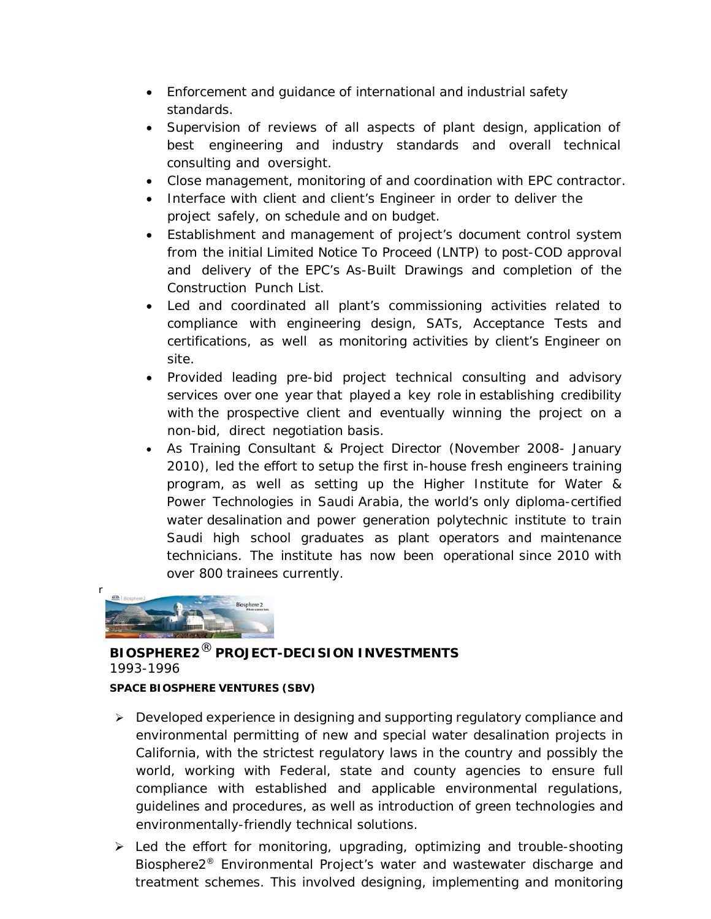- Enforcement and guidance of international and industrial safety standards.
- Supervision of reviews of all aspects of plant design, application of best engineering and industry standards and overall technical consulting and oversight.
- Close management, monitoring of and coordination with EPC contractor.
- Interface with client and client's Engineer in order to deliver the project safely, on schedule and on budget.
- Establishment and management of project's document control system from the initial Limited Notice To Proceed (LNTP) to post-COD approval and delivery of the EPC's As-Built Drawings and completion of the Construction Punch List.
- Led and coordinated all plant's commissioning activities related to compliance with engineering design, SATs, Acceptance Tests and certifications, as well as monitoring activities by client's Engineer on site.
- Provided leading pre-bid project technical consulting and advisory services over one year that played a key role in establishing credibility with the prospective client and eventually winning the project on a non-bid, direct negotiation basis.
- As Training Consultant & Project Director (November 2008- January 2010), led the effort to setup the first in-house fresh engineers training program, as well as setting up the *Higher Institute for Water & Power Technologies* in Saudi Arabia, the world's only diploma-certified water desalination and power generation polytechnic institute to train Saudi high school graduates as plant operators and maintenance technicians. The institute has now been operational since 2010 with over 800 trainees currently.



**BIOSPHERE2**® **PROJECT-DECISION INVESTMENTS**  1993-1996

## *SPACE BIOSPHERE VENTURES (SBV)*

- $\triangleright$  Developed experience in designing and supporting regulatory compliance and environmental permitting of new and special water desalination projects in California, with the strictest regulatory laws in the country and possibly the world, working with Federal, state and county agencies to ensure full compliance with established and applicable environmental regulations, guidelines and procedures, as well as introduction of green technologies and environmentally-friendly technical solutions.
- $\triangleright$  Led the effort for monitoring, upgrading, optimizing and trouble-shooting Biosphere2® Environmental Project's water and wastewater discharge and treatment schemes. This involved designing, implementing and monitoring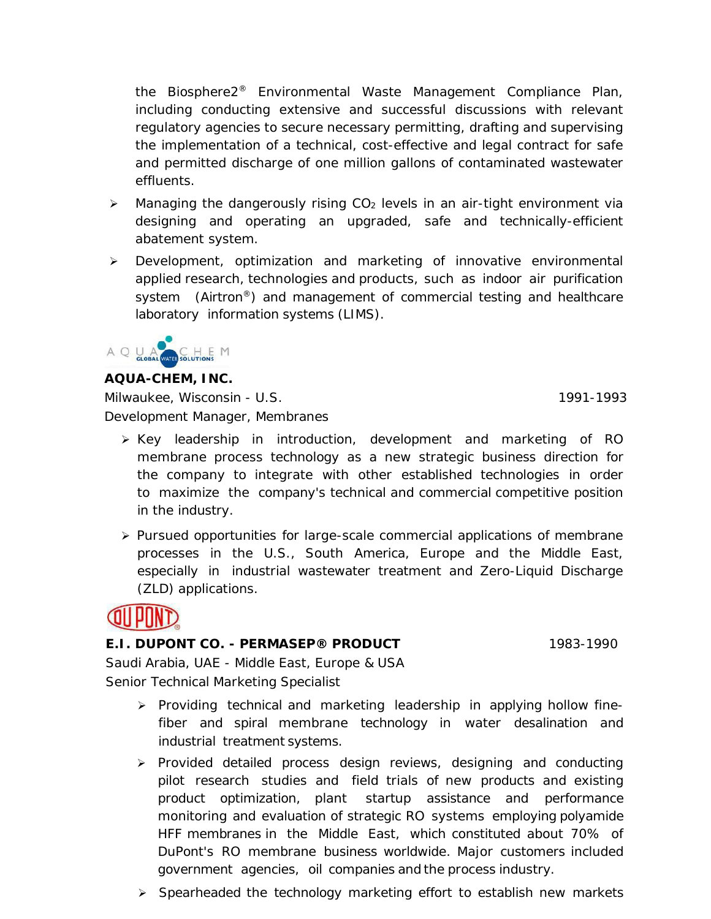the Biosphere2® Environmental Waste Management Compliance Plan, including conducting extensive and successful discussions with relevant regulatory agencies to secure necessary permitting, drafting and supervising the implementation of a technical, cost-effective and legal contract for safe and permitted discharge of one million gallons of contaminated wastewater effluents.

- $\triangleright$  Managing the dangerously rising CO<sub>2</sub> levels in an air-tight environment via designing and operating an upgraded, safe and technically-efficient abatement system.
- Development, optimization and marketing of innovative environmental applied research, technologies and products, such as indoor air purification system (Airtron<sup>®</sup>) and management of commercial testing and healthcare laboratory information systems (LIMS).



# **AQUA-CHEM, INC.**

Milwaukee, Wisconsin - U.S. 1991-1993 *Development Manager, Membranes*

- $\triangleright$  Key leadership in introduction, development and marketing of RO membrane process technology as a new strategic business direction for the company to integrate with other established technologies in order to maximize the company's technical and commercial competitive position in the industry.
- Pursued opportunities for large-scale commercial applications of membrane processes in the U.S., South America, Europe and the Middle East, especially in industrial wastewater treatment and Zero-Liquid Discharge (ZLD) applications.

# **E.I. DUPONT CO. - PERMASEP® PRODUCT** 1983-1990

Saudi Arabia, UAE - Middle East, Europe & USA *Senior Technical Marketing Specialist*

- $\triangleright$  Providing technical and marketing leadership in applying hollow finefiber and spiral membrane technology in water desalination and industrial treatment systems.
- $\triangleright$  Provided detailed process design reviews, designing and conducting pilot research studies and field trials of new products and existing product optimization, plant startup assistance and performance monitoring and evaluation of strategic RO systems employing polyamide HFF membranes in the Middle East, which constituted about 70% of DuPont's RO membrane business worldwide. Major customers included government agencies, oil companies and the process industry.
- $\triangleright$  Spearheaded the technology marketing effort to establish new markets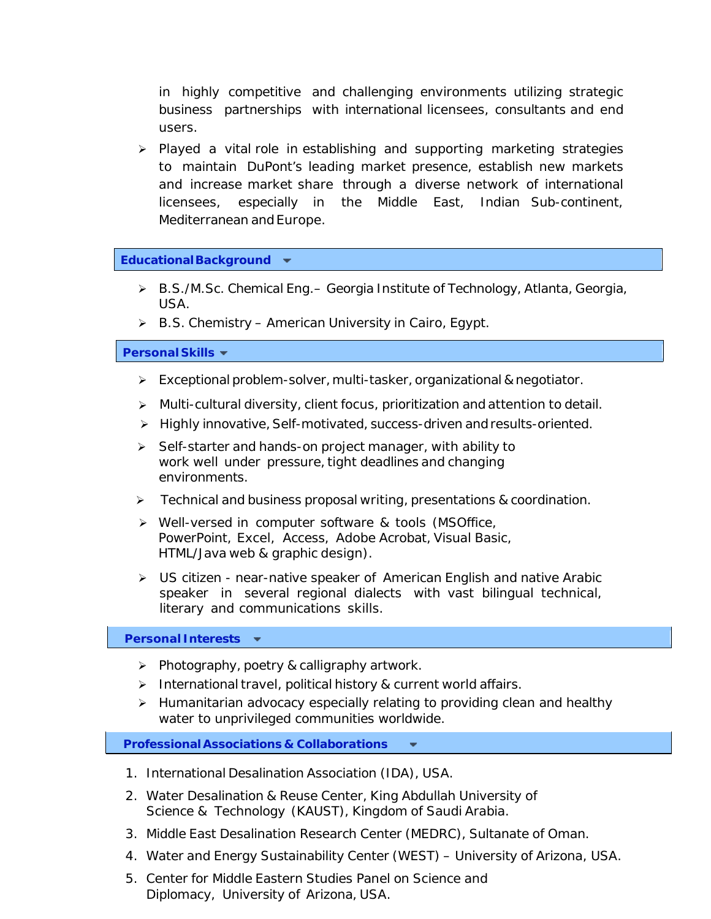in highly competitive and challenging environments utilizing strategic business partnerships with international licensees, consultants and end users.

 $\triangleright$  Played a vital role in establishing and supporting marketing strategies to maintain DuPont's leading market presence, establish new markets and increase market share through a diverse network of international licensees, especially in the Middle East, Indian Sub-continent, Mediterranean and Europe.

## **EducationalBackground**

- $\triangleright$  B.S./M.Sc. Chemical Eng. Georgia Institute of Technology, Atlanta, Georgia, USA.
- $\triangleright$  B.S. Chemistry American University in Cairo, Egypt.

## **PersonalSkills**

- $\triangleright$  Exceptional problem-solver, multi-tasker, organizational & negotiator.
- $\triangleright$  Multi-cultural diversity, client focus, prioritization and attention to detail.
- $\triangleright$  Highly innovative, Self-motivated, success-driven and results-oriented.
- $\triangleright$  Self-starter and hands-on project manager, with ability to work well under pressure, tight deadlines and changing environments.
- **EXECT** Technical and business proposal writing, presentations & coordination.
- > Well-versed in computer software & tools (MSOffice, PowerPoint, Excel, Access, Adobe Acrobat, Visual Basic, HTML/Java web & graphic design).
- $\triangleright$  US citizen near-native speaker of American English and native Arabic speaker in several regional dialects with vast bilingual technical, literary and communications skills.

## **Personal Interests**

- $\triangleright$  Photography, poetry & calligraphy artwork.
- $\triangleright$  International travel, political history & current world affairs.
- $\triangleright$  Humanitarian advocacy especially relating to providing clean and healthy water to unprivileged communities worldwide.

## **ProfessionalAssociations & Collaborations**

- 1. International Desalination Association (IDA), USA.
- 2. Water Desalination & Reuse Center, King Abdullah University of Science & Technology (KAUST), Kingdom of Saudi Arabia.
- 3. Middle East Desalination Research Center (MEDRC), Sultanate of Oman.
- 4. Water and Energy Sustainability Center (WEST) University of Arizona, USA.
- 5. Center for Middle Eastern Studies Panel on Science and Diplomacy, University of Arizona, USA.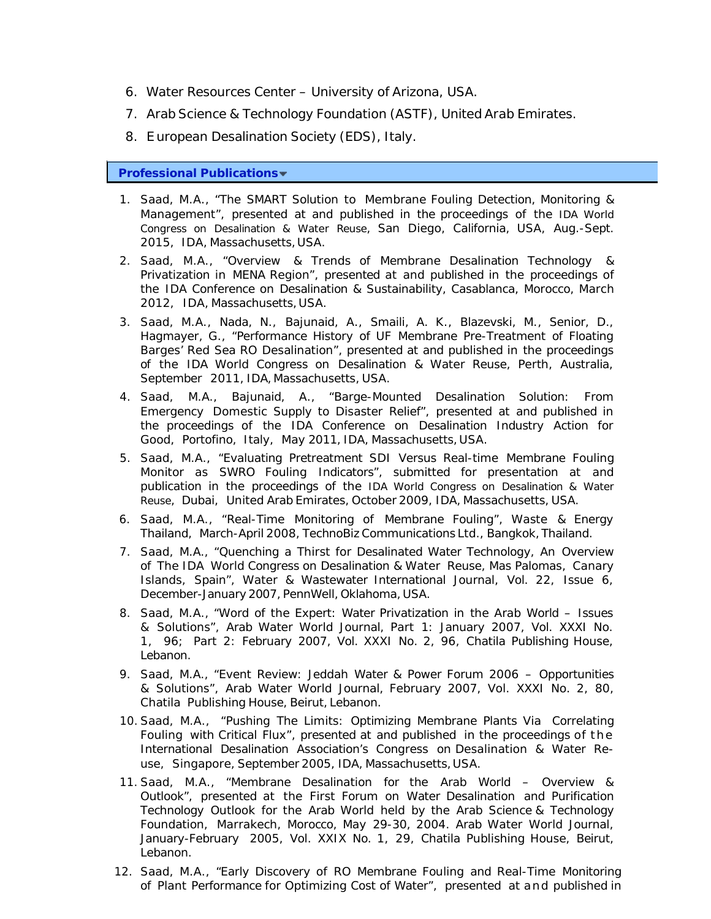- 6. Water Resources Center University of Arizona, USA.
- 7. Arab Science & Technology Foundation (ASTF), United Arab Emirates.
- 8. European Desalination Society (EDS), Italy.

#### **Professional Publications**

- 1. Saad, M.A., "The SMART Solution to Membrane Fouling Detection, Monitoring & Management", presented at and published in the proceedings of the *IDA World Congress on Desalination & Water Reuse*, San Diego, California, USA, Aug.-Sept. 2015, IDA, Massachusetts, USA.
- 2. Saad, M.A., "Overview & Trends of Membrane Desalination Technology & Privatization in MENA Region", presented at and published in the proceedings of the *IDA Conference on Desalination & Sustainability*, Casablanca, Morocco, March 2012, IDA, Massachusetts,USA.
- 3. Saad, M.A., Nada, N., Bajunaid, A., Smaili, A. K., Blazevski, M., Senior, D., Hagmayer, G., "Performance History of UF Membrane Pre-Treatment of Floating Barges' Red Sea RO Desalination", presented at and published in the proceedings of the *IDA World Congress on Desalination & Water Reuse*, Perth, Australia, September 2011, IDA, Massachusetts, USA.
- 4. Saad, M.A., Bajunaid, A., "Barge-Mounted Desalination Solution: From Emergency Domestic Supply to Disaster Relief", presented at and published in the proceedings of the *IDA Conference on Desalination Industry Action for* Good, Portofino, Italy, May 2011, IDA, Massachusetts, USA.
- 5. Saad, M.A., "Evaluating Pretreatment SDI Versus Real-time Membrane Fouling Monitor as SWRO Fouling Indicators", submitted for presentation at and publication in the proceedings of the *IDA World Congress on Desalination & Water Reuse*, Dubai, United Arab Emirates, October 2009, IDA, Massachusetts, USA.
- 6. Saad, M.A., "Real-Time Monitoring of Membrane Fouling", *Waste & Energy Thailand*, March-April 2008, TechnoBiz Communications Ltd., Bangkok,Thailand.
- 7. Saad, M.A., "Quenching a Thirst for Desalinated Water Technology, *An Overview of The IDA World Congress on Desalination & Water Reuse, Mas Palomas, Canary Islands, Spain*"*, Water & Wastewater International Journal*, Vol. 22, Issue 6, December-January 2007, PennWell, Oklahoma, USA.
- 8. Saad, M.A., "*Word of the Expert*: Water Privatization in the Arab World *Issues & Solutions*", *Arab Water World Journal*, Part 1: January 2007, Vol. XXXI No. 1, 96; Part 2: February 2007, Vol. XXXI No. 2, 96, Chatila Publishing House, Lebanon.
- 9. Saad, M.A., "*Event Review*: Jeddah Water & Power Forum 2006 *Opportunities & Solutions*", *Arab Water World Journal*, February 2007, Vol. XXXI No. 2, 80, Chatila Publishing House, Beirut, Lebanon.
- 10. Saad, M.A., "*Pushing The Limits*: Optimizing Membrane Plants Via Correlating Fouling with Critical Flux", presented at and published in the proceedings of the *International Desalination Association's Congress on Desalination & Water Re*use, Singapore, September 2005, IDA, Massachusetts, USA.
- 11. Saad, M.A., "Membrane Desalination for the Arab World *– Overview & Outlook*", presented at the *First Forum on Water Desalination and Purification Technology Outlook for the Arab World* held by the Arab Science & Technology Foundation, Marrakech, Morocco, May 29-30, 2004. *Arab Water World Journal*, January-February 2005, Vol. XXIX No. 1, 29, Chatila Publishing House, Beirut, Lebanon.
- 12. Saad, M.A., "Early Discovery of RO Membrane Fouling and Real-Time Monitoring of Plant Performance for Optimizing Cost of Water", presented at and published in